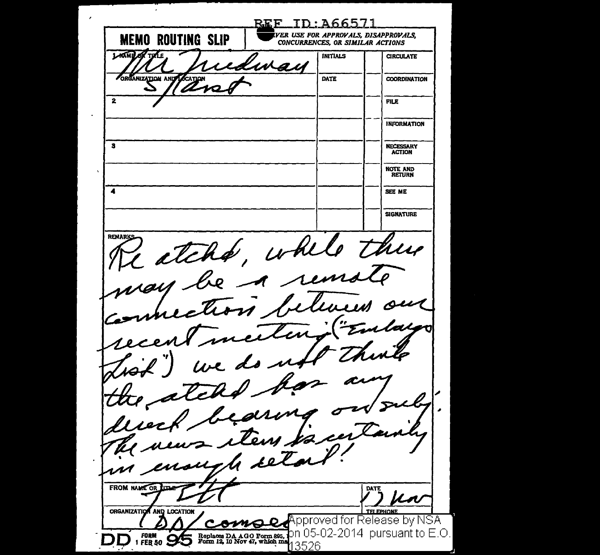*WllVER U;sE FOR APPROVALS, DISAPPROVALS.*  **MEMO ROUTING SLIP CONCURRENCES, OR SIMILAR ACTIONS LAGME OF THE** INITIALS **CIRCULATE** livai ORGANIZATION AND COATION DATE COORDINATION  $\overline{\mathbf{2}}$ FILE INFORMATION 3 NECESSARY ACTION NOTE AND **4**  SEE ME SIGNATURE atche, while there **REMARK** may be a rem immection  $\mathbb{Z}$ meiling recent do  $27 - k$ each bearing 2 items enough seta FROM NAME OR DATE **ORGANIZATION** AND LOCATION **FOUONE** Approved for Release by NSA omol Replaces DA AGO Form 805, DN 05-02-2014 pursuant to E.O. **FORM**  $FEB 50$ 13526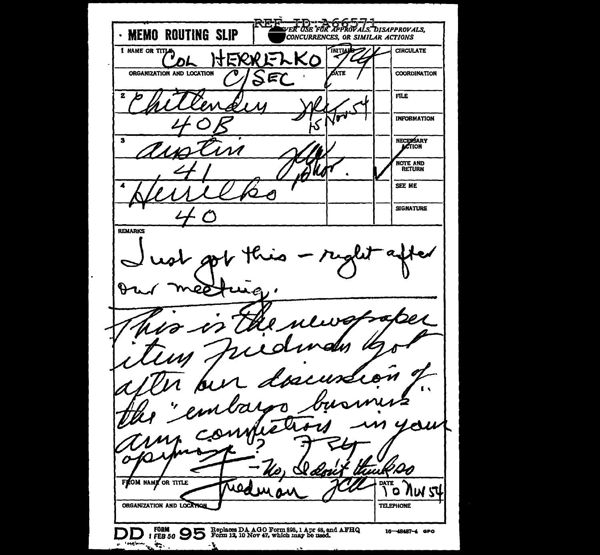VER USE FOR APPROVALS. DISAPPROVALS, · MEMO ROUTING SLIP CONCURRENCES, OR SIMILAR ACTIONS **1 NAME OR TITLE** INITIAL **CIRCULATE** ITEXXE Kο DΓ ORGANIZATION AND LOCATION *ó*ate COORDINATION E 2 **FILE**  $\bullet$ **INFORMATION** ۰Ś NECESSARY  $\overline{\mathbf{3}}$ NOTE AND SEE ME **SIGNATURE REMARKS**  $\boldsymbol{\varphi}$ ο  $\mathbf{r}$  $\mathscr{C}$  $\mathscr{A}$  $\boldsymbol{\eta}$  $4e$ g. D QQG Ø x dmir lli FROM NAME OR TITLE **DATE** J 0  $\circ$ **NW** ORGANIZATION AND LOCATION **TELEPHONE** FORM **OD** Replaces DA AGO Form 895, 1 Apr 48, and AFHQ<br>IFEB 50 **OD** Form 12, 10 Nov 47, which may be used. 16-48487-4 GPO D  $\frac{1}{2}$  . The state  $\frac{1}{2}$ - 4 ÷.